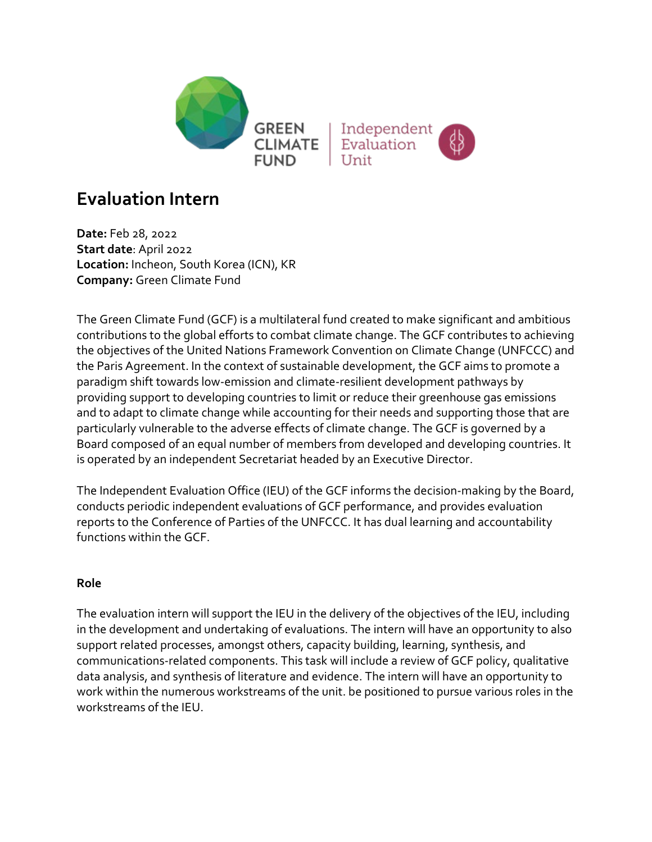

# **Evaluation Intern**

**Date:** Feb 28, 2022 **Start date**: April 2022 **Location:** Incheon, South Korea (ICN), KR **Company:** Green Climate Fund

The Green Climate Fund (GCF) is a multilateral fund created to make significant and ambitious contributions to the global efforts to combat climate change. The GCF contributes to achieving the objectives of the United Nations Framework Convention on Climate Change (UNFCCC) and the Paris Agreement. In the context of sustainable development, the GCF aims to promote a paradigm shift towards low-emission and climate-resilient development pathways by providing support to developing countries to limit or reduce their greenhouse gas emissions and to adapt to climate change while accounting for their needs and supporting those that are particularly vulnerable to the adverse effects of climate change. The GCF is governed by a Board composed of an equal number of members from developed and developing countries. It is operated by an independent Secretariat headed by an Executive Director.

The Independent Evaluation Office (IEU) of the GCF informs the decision-making by the Board, conducts periodic independent evaluations of GCF performance, and provides evaluation reports to the Conference of Parties of the UNFCCC. It has dual learning and accountability functions within the GCF.

#### **Role**

The evaluation intern will support the IEU in the delivery of the objectives of the IEU, including in the development and undertaking of evaluations. The intern will have an opportunity to also support related processes, amongst others, capacity building, learning, synthesis, and communications-related components. This task will include a review of GCF policy, qualitative data analysis, and synthesis of literature and evidence. The intern will have an opportunity to work within the numerous workstreams of the unit. be positioned to pursue various roles in the workstreams of the IEU.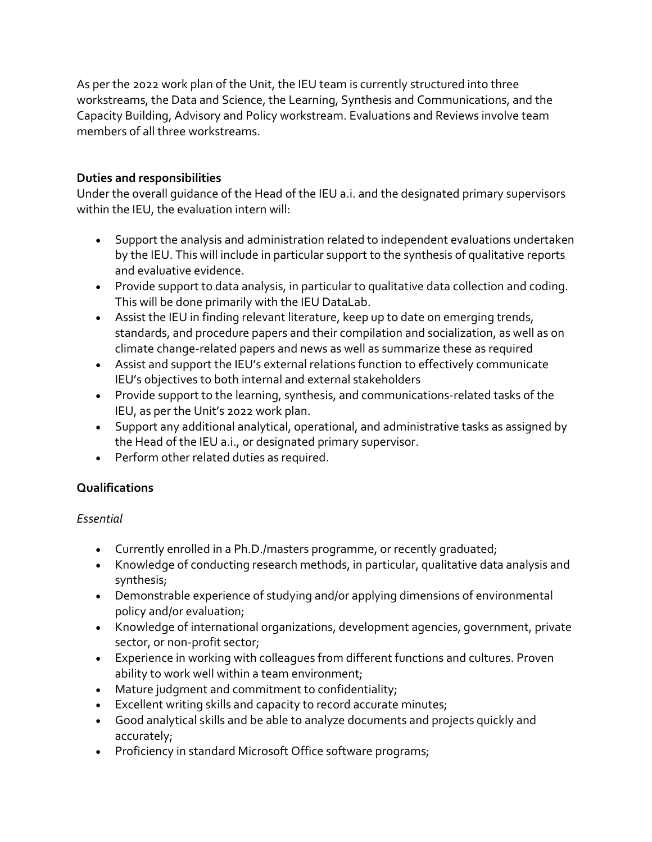As per the 2022 work plan of the Unit, the IEU team is currently structured into three workstreams, the Data and Science, the Learning, Synthesis and Communications, and the Capacity Building, Advisory and Policy workstream. Evaluations and Reviews involve team members of all three workstreams.

#### **Duties and responsibilities**

Under the overall guidance of the Head of the IEU a.i. and the designated primary supervisors within the IEU, the evaluation intern will:

- Support the analysis and administration related to independent evaluations undertaken by the IEU. This will include in particular support to the synthesis of qualitative reports and evaluative evidence.
- Provide support to data analysis, in particular to qualitative data collection and coding. This will be done primarily with the IEU DataLab.
- Assist the IEU in finding relevant literature, keep up to date on emerging trends, standards, and procedure papers and their compilation and socialization, as well as on climate change-related papers and news as well as summarize these as required
- Assist and support the IEU's external relations function to effectively communicate IEU's objectives to both internal and external stakeholders
- Provide support to the learning, synthesis, and communications-related tasks of the IEU, as per the Unit's 2022 work plan.
- Support any additional analytical, operational, and administrative tasks as assigned by the Head of the IEU a.i., or designated primary supervisor.
- Perform other related duties as required.

## **Qualifications**

## *Essential*

- Currently enrolled in a Ph.D./masters programme, or recently graduated;
- Knowledge of conducting research methods, in particular, qualitative data analysis and synthesis;
- Demonstrable experience of studying and/or applying dimensions of environmental policy and/or evaluation;
- Knowledge of international organizations, development agencies, government, private sector, or non-profit sector;
- Experience in working with colleagues from different functions and cultures. Proven ability to work well within a team environment;
- Mature judgment and commitment to confidentiality;
- Excellent writing skills and capacity to record accurate minutes;
- Good analytical skills and be able to analyze documents and projects quickly and accurately;
- Proficiency in standard Microsoft Office software programs;